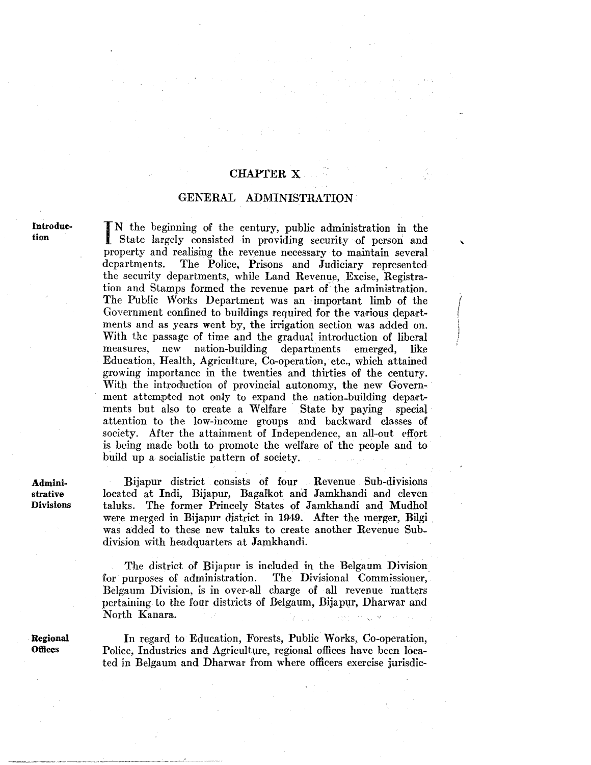## CHAPTER X

## GENERAL ADMINISTRATION

Introduction

IN the beginning of the century, public administration in the State largely consisted in providing security of person and N the beginning of the century, public administration in the property and realising the revenue necessary to maintain several departments. The Police, Prisons and Judiciary represented the security departments, while Land Revenue, Excise, Registration and Stamps formed the revenue part of the administration. The Public Works Department was an important limb of the Government confined to buildings required for the various departments and as years went by, the irrigation section was added on. With the passage of time and the gradual introduction of liberal measures, new nation-building departments emerged, like measures, new nation-building departments emerged, like Education, Health, Agriculture, Co-operation, etc., which attained growing importance in the twenties and thirties of the century. With the introduction of provincial autonomy, the new Government attempted not only to expand the nation-building departments but also to create a Welfare State by paying special attention to the low-income groups and backward classes of society. After the attainment of Independence, an all-out effort is being made both to promote the welfare of the people and to build up a socialistic pattern of society.

Administrative **Divisions** 

Bijapur district consists of four Revenue Sub-divisions located at Indi, Bijapur, Bagalkot and Jamkhandi and eleven taluks. The former Princely States of Jamkhandi and Mudhol were merged in Bijapur district in 1949. After the merger, Bilgi was added to these new taluks to create another Revenue Subdivision with headquarters at Jamkhandi.

The district of Bijapur is included in the Belgaum Division for purposes of administration. The Divisional Commissioner, Belgaum Division, is in over-all charge of all revenue matters pertaining to the four districts of Belgaum, Bijapur, Dharwar and North Kanara.

Regional **Offices** 

In regard to Education, Forests, Public Works, Co-operation, Police, Industries and Agriculture, regional offices have been located in Belgaum and Dharwar from where officers exercise jurisdic-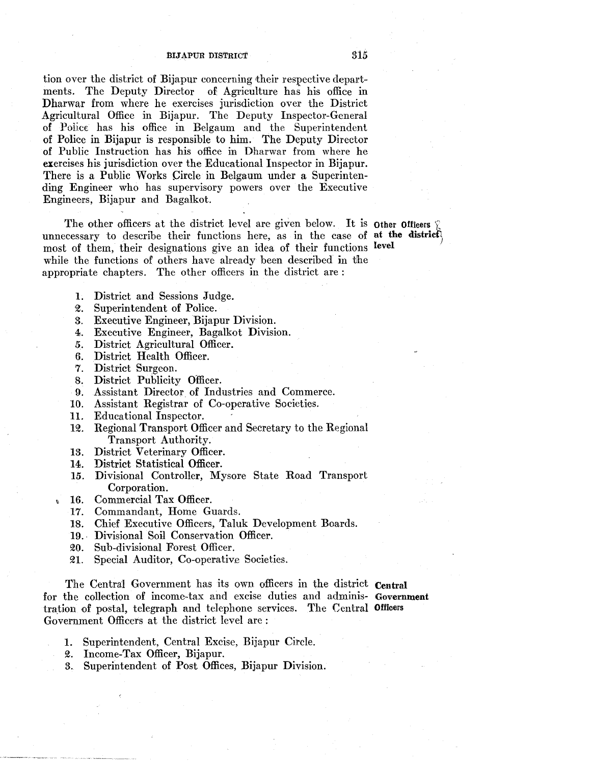## BIJAPUR DISTRICT 315

tion over the district of Bijapur concerning their respective departments. The Deputy Director of Agriculture has his office in Dharwar from where he exercises jurisdiction over the District Agricultural Office in Bijapur. The Deputy Inspector-General of Police has his office in Belgaum and the Superintendent of Police in Bijapur is responsible to him. The Deputy Director of Public Instruction has his office in Dharwar from where he exercises his jurisdiction over the Educational Inspector in Bijapur. There is a Public Works Circle in Belgaum under a Superintending Engineer who has supervisory powers over the Executive Engineers, Bijapur and Bagalkot.

The other officers at the district level are given below. It is other Officers unnecessary to describe their functions here, as in the case of at the district most of them, their designations give an idea of their functions level while the functions of others have already been described in the appropriate chapters. The other officers in the district are :

- l. District and Sessions Judge.
- $\mathfrak{A}.$ Superintendent of Police.
- 3. Executive Engineer, Bijapur Division.
- 4. Executive Engineer, Bagalkot Division.
- *5.*  District Agricultural Officer.
- 6. District Health Officer.
- 7. District Surgeon.
- 8. District Publicity Officer.
- 9. Assistant Director of Industries and Commerce.
- 10. Assistant Registrar of Co-operative Societies.
- 11. Educational Inspector.
- 12. Regional Transport Officer and Secretary to the Regional Transport Authority.
- 13. District Veterinary Officer.
- 14. District Statistical Officer.
- 15. Divisional Controller, Mysore State Road Transport Corporation.
- 16. Commercial Tax Officer.

t

- 17. Commandant, Home Guards.
- 18. Chief Executive Officers, Taluk Development Boards.
- 19.· Divisional Soil Conservation Officer.
- 20. Sub-divisional Forest Officer.
- ~1. Special Auditor, Co-operative Societies.

The Central Government has its own officers in the district Central for the collection of income-tax and excise duties and adminis- Government tration of postal, telegraph and telephone services. The Central Officers Government Officers at the district level are :

- 1. Superintendent, Central Excise, Bijapur Circle.
- 2. Income-Tax Officer, Bijapur.
- 3. Superintendent of Post Offices, Bijapur Division.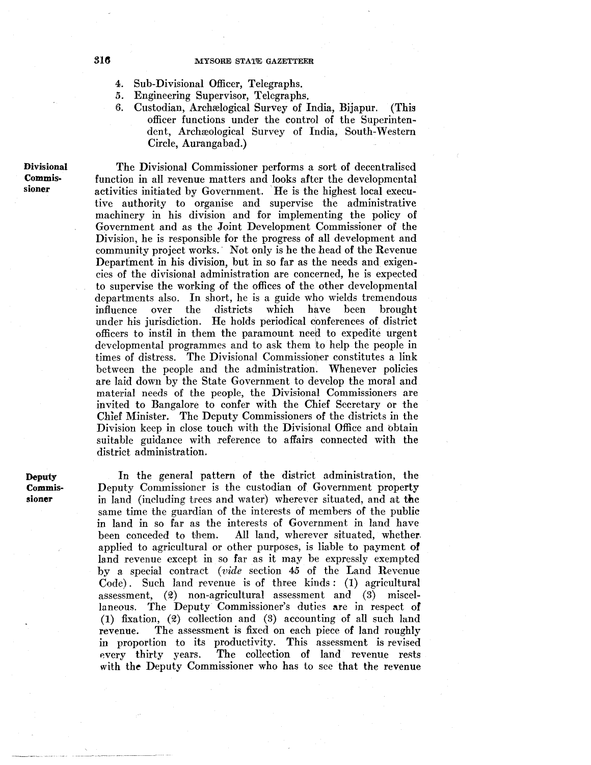- 4. Sub-Divisional Officer, Telegraphs.
- *5.* Engineering Supervisor, Telegraphs.
	- Custodian, Archælogical Survey of India, Bijapur. (This officer functions under the control of the Superintendent, Archæological Survey of India, South-Western Circle, Aurangabad.)

Divisional Commissioner

The Divisional Commissioner performs a sort of decentralised function in all revenue matters and looks after the developmental activities initiated by Government. He is the highest local executive authority to organise and supervise the administrative machinery in his division and for implementing the policy of Government and as the Joint Development Commissioner of the Division, he is responsible for the progress of all development and community project works.· Not only is he the head of the Revenue Department in his division, but in so far as the needs and exigencies of the divisional administration are concerned, he is expected to supervise the working of the offices of the other developmental departments also. In short, he is a guide who wields tremendous<br>influence over the districts which have been brought influence over the districts under his jurisdiction. He holds periodical conferences of district officers to instil in them the paramount need to expedite urgent developmental programmes and to ask them to help the people in times of distress. The Divisional Commissioner constitutes a link between the people and the administration. Whenever policies are laid down by the State Government to develop the moral and material needs of the people, the Divisional Commissioners are invited to Bangalore to confer with the Chief Secretary or the Chief Minister. The Deputy Commissioners of the districts in the Division keep in close touch with the Divisional Office and obtain suitable guidance with reference to affairs connected with the district administration.

**Deputy** Commissioner

In the general pattern of the district administration, the Deputy Commissioner is the custodian of Government property in land (including trees and water) wherever situated, and at the same time the guardian of the interests of members of the public in land in so far as the interests of Government in land have been conceded to them. All land, wherever situated, whether. applied to agricultural or other purposes, is liable to payment of land revenue except in so far as it may be expressly exempted by a special contract *(vide* section 45 of the Land Revenue Code). Such land revenue is of three kinds : (1) agricultural assessment,  $(2)$  non-agricultural assessment and  $(3)$  miscellaneous. The Deputy Commissioner's duties are in respect of (1) fixation,  $(2)$  collection and  $(3)$  accounting of all such land revenue. The assessment is fixed on each piece of land roughly in proportion to its productivity. This assessment is revised every thirty years. The collection of land revenue rests with the Deputy Commissioner who has to see that the revenue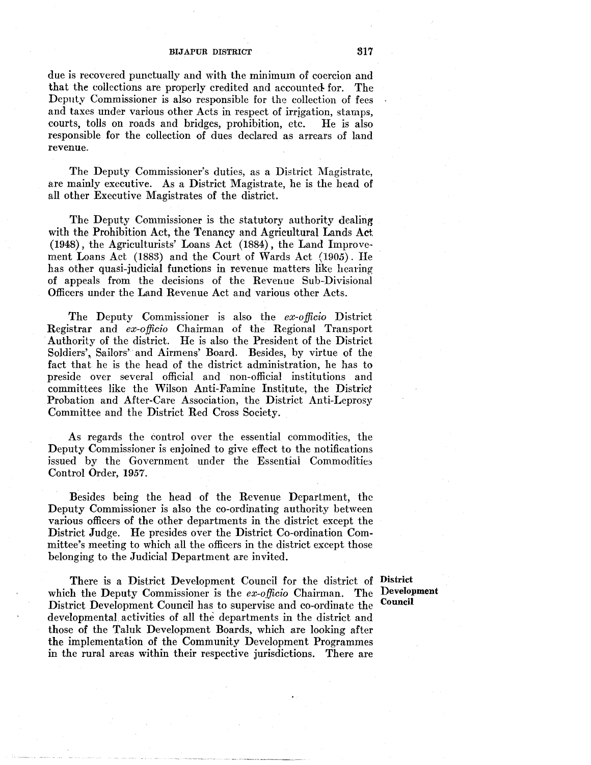## BIJAPUR DISTRICT 817

due is recovered punctually and with the minimum of coercion and that the collections are properly credited and accounted- for. The Deputy Commissioner is also responsible for the collection of fees and taxes under various other Acts in respect of irrigation, stamps, courts, tolls on roads and bridges, prohibition, etc. He is also responsible for the collection of dues declared as arrears of land revenue.

The Deputy Commissioner's duties, as a District Magistrate, are mainly executive. As a District Magistrate, he is the head of all other Executive Magistrates of the district.

The Deputy Commissioner is the statutory authority dealing with the Prohibition Act, the Tenancy and Agricultural Lands Act (1948), the Agriculturists' Loans Act (1884), the Land Improve· ment Loans Act (1883) and the Court of Wards Act (1905). He has other quasi-judicial functions in revenue matters like hearing of appeals from the decisions of the Revenue Sub-Divisional Officers under the Land Revenue Act and various other Acts.

The Deputy Commissioner is also the *ex-officio* District Registrar and *ex-officio* Chairman of the Regional Transport Authority of the district. He is also the President of the District Soldiers', Sailors' and Airmens' Board. Besides, by virtue of the fact that he is the head of the district administration, he has to preside over several official and non-official institutions and committees like the Wilson Anti-Famine Institute, the District Probation and After-Care Association, the District Anti-Leprosy Committee and the District Red Cross Society.

As regards the control over the essential commodities, the Deputy Commissioner is enjoined to give effect to the notifications issued by the Government under the Essential Commodities Control Order, 1957.

Besides being the head of the Revenue Department, the Deputy Commissioner is also the co-ordinating authority between various officers of the other departments in the district except the District Judge. He presides over the District Co-ordination Committee's meeting to which all the officers in the district except those belonging to the Judicial Department are invited.

There is a District Development Council for the district of District which the Deputy Commissioner is the *ex-officio* Chairman. The District Development Council has to supervise and co-ordinate the developmental activities of all the departments in the district and those of the Taluk Development Boards, which are looking after the implementation of the Community Development Programmes in the rural areas within their respective jurisdictions. There are

Development Council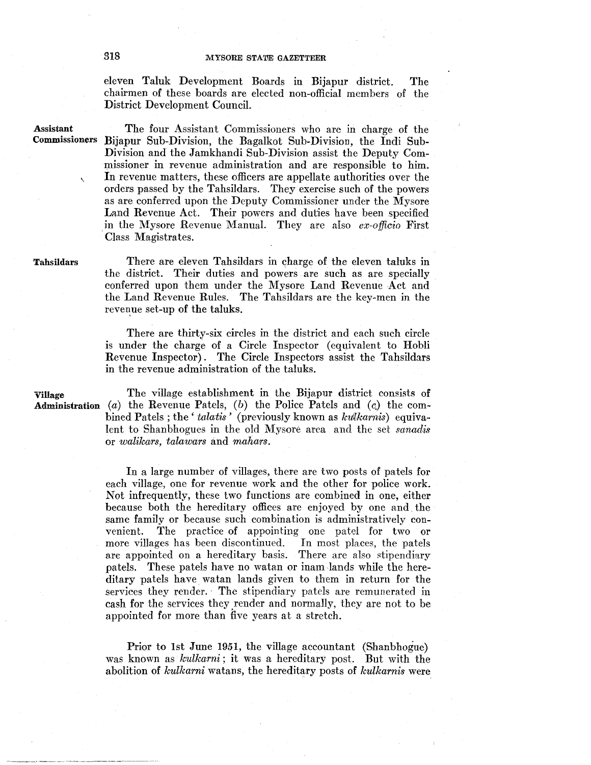eleven Taluk Development Boards in Bijapur district. The chairmen of these boards are elected non-official members of the District Development Council.

Assistant

 $\mathbf{v}$ 

Commissioners Bijapur Sub-Division, the Bagalkot Sub-Division, the Indi Sub-The four Assistant Commissioners who are in charge of the Division and the Jamkhandi Sub-Division assist the Deputy Commissioner in revenue administration and are responsible to him. In revenue matters, these officers are appellate authorities over the orders passed by the Tahsildars. They exercise such of the powers as are conferred upon the Deputy Commissioner under the Mysore Land Revenue Act. Their powers and duties have been specified in the Mysore Revenue Manual. They are also *ex-officio* First Class Magistrates.

Tahsildars

There are eleven Tahsildars in charge of the eleven taluks in the district. Their duties and powers are such as are specially conferred upon them under the Mysore Land Revenue Act and the Land Revenue Rules. The Tahsildars are the key-men in the revenue set-up of the taluks.

There are thirty-six circles in the district and each such circle is under the charge of a Circle Inspector (equivalent to Hobli Revenue Inspector) . The Circle Inspectors assist the Tahsildars in the revenue administration of the taluks.

Village The village establishment in the Bijapur district consists of Administration (a) the Revenue Patels, (b) the Police Patels and (c) the combined Patels; the '*talatis'* (previously known as *kulkarnis*) equivalent to Shanbhogues in the old Mysore area and the set *sanadis*  or *walikars, talawars* and *mahars.* 

> In a large number of villages, there are two posts of patels for each village, one for revenue work and the other for police work. Not infrequently, these two functions are combined in one, either because both the hereditary offices are enjoyed by one and. the same family or because such combination is administratively convenient. The practice of appointing one patel for two or more villages has been discontinued. In most places, the patels more villages has been discontinued. are appointed on a hereditary basis. There are also stipendiary patels. These patels have no watan or inam lands while the hereditary patels have watan lands given to them in return for the services they render. The stipendiary patels are remunerated in cash for the services they render and normally, they are not to be appointed for more than five years at a stretch.

> Prior to 1st June 1951, the village accountant (Shanbhogue) was known as *kulkarni* ; it was a hereditary post. But with the abolition of *kulkarni* watans, the hereditary posts of *kulkarnis* were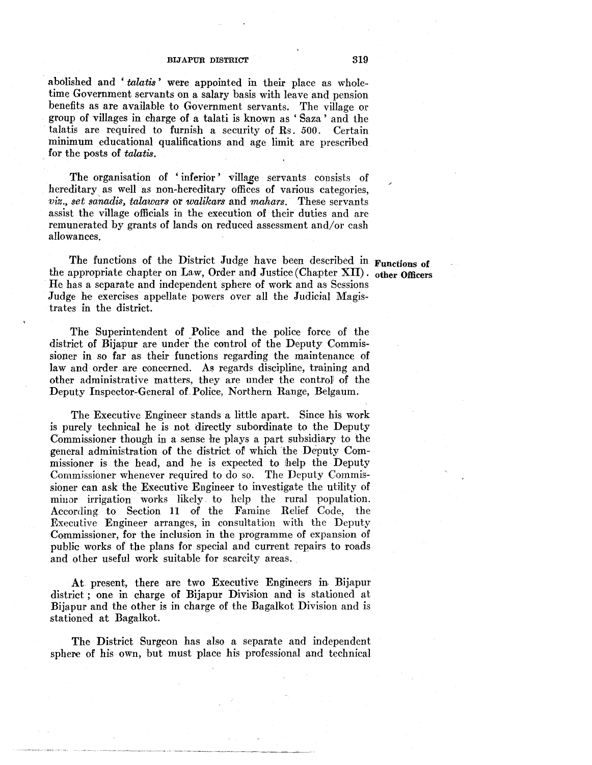abolished and 'talatis' were appointed in their place as wholetime Government servants on a salary basis with leave and pension benefits as are available to Government servants. The village or group of villages in charge of a talati is known as ' Saza ' and the talatis are required to furnish a security of Rs. *500.* Certain minimum educational qualifications and age limit are prescribed . for the posts of *talatis.* 

The organisation of 'inferior' village servants consists of hereditary as well as non-hereditary offices of various categories, *viz., set sanadis, talawars* or *walikars* and *mahars.* These servants assist the village officials in the execution of their duties and are remunerated by grants of lands on reduced assessment and/or cash allowances.

The functions of the District Judge have been described in Functions of the appropriate chapter on Law, Order and Justice (Chapter XII). other Officers He has a separate and independent sphere of work and as Sessions Judge he exercises appellate powers over all the Judicial Magistrates in the district.

The Superintendent of Police and the police force of the district of Bijapur are under the control of the Deputy Commissioner in so far as their functions regarding the maintenance of law and order are concerned. As regards discipline, training and other administrative matters, they are under the control of the Deputy Inspector-General of Police, Northern Range, Belgaum.

The Executive Engineer stands a little apart. Since his work is purely technical he is not directly subordinate to the Deputy Commissioner though in a sense he plays a part subsidiary to the general administration of the district of which the Deputy Commissioner is the head, and he is expected to help the Deputy Commissioner whenever required to do so. The Deputy Commissioner can ask the Executive Engineer to investigate the utility of minor irrigation works likely. to help the rural population. According to Section 11 of the Famine Relief Code, the Executive Engineer arranges, in consultation with the Deputy Commissioner, for the inclusion in the programme of expansion of public works of the plans for special and current repairs to roads and other useful work suitable for scarcity areas.

At present, there are two Executive Engineers in Bijapur district ; one in charge of Bijapur Division and is stationed at Bijapur and the other is in charge of the Bagalkot Division and is stationed at Bagalkot.

The District Surgeon has also a separate and independent sphere of his own, but must place his professional and technical